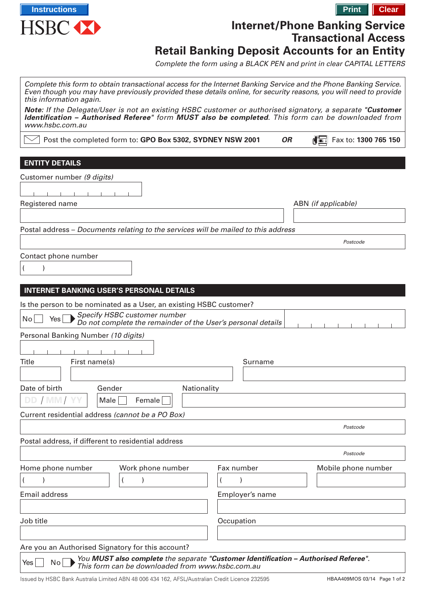

# **Internet/Phone Banking Service Transactional Access Retail Banking Deposit Accounts for an Entity**

Complete the form using a BLACK PEN and print in clear CAPITAL LETTERS

| Complete this form to obtain transactional access for the Internet Banking Service and the Phone Banking Service.<br>Even though you may have previously provided these details online, for security reasons, you will need to provide<br>this information again. |                 |           |                              |
|-------------------------------------------------------------------------------------------------------------------------------------------------------------------------------------------------------------------------------------------------------------------|-----------------|-----------|------------------------------|
| Note: If the Delegate/User is not an existing HSBC customer or authorised signatory, a separate "Customer<br>Identification - Authorised Referee" form MUST also be completed. This form can be downloaded from<br>www.hsbc.com.au                                |                 |           |                              |
| Post the completed form to: GPO Box 5302, SYDNEY NSW 2001                                                                                                                                                                                                         |                 | <b>OR</b> | died<br>Fax to: 1300 765 150 |
|                                                                                                                                                                                                                                                                   |                 |           |                              |
| <b>ENTITY DETAILS</b>                                                                                                                                                                                                                                             |                 |           |                              |
| Customer number (9 digits)                                                                                                                                                                                                                                        |                 |           |                              |
|                                                                                                                                                                                                                                                                   |                 |           |                              |
| Registered name                                                                                                                                                                                                                                                   |                 |           | ABN (if applicable)          |
|                                                                                                                                                                                                                                                                   |                 |           |                              |
| Postal address - Documents relating to the services will be mailed to this address                                                                                                                                                                                |                 |           |                              |
|                                                                                                                                                                                                                                                                   |                 |           | Postcode                     |
| Contact phone number                                                                                                                                                                                                                                              |                 |           |                              |
|                                                                                                                                                                                                                                                                   |                 |           |                              |
|                                                                                                                                                                                                                                                                   |                 |           |                              |
| <b>INTERNET BANKING USER'S PERSONAL DETAILS</b>                                                                                                                                                                                                                   |                 |           |                              |
| Is the person to be nominated as a User, an existing HSBC customer?                                                                                                                                                                                               |                 |           |                              |
| Specify HSBC customer number                                                                                                                                                                                                                                      |                 |           |                              |
| $\overline{N}$ o<br>Yes<br>Do not complete the remainder of the User's personal details                                                                                                                                                                           |                 |           |                              |
| Personal Banking Number (10 digits)                                                                                                                                                                                                                               |                 |           |                              |
|                                                                                                                                                                                                                                                                   |                 |           |                              |
| Title<br>First name(s)                                                                                                                                                                                                                                            | Surname         |           |                              |
|                                                                                                                                                                                                                                                                   |                 |           |                              |
| Date of birth<br>Gender<br>Nationality                                                                                                                                                                                                                            |                 |           |                              |
| DD / MM/<br>Male<br>Female                                                                                                                                                                                                                                        |                 |           |                              |
| Current residential address (cannot be a PO Box)                                                                                                                                                                                                                  |                 |           |                              |
|                                                                                                                                                                                                                                                                   |                 |           | Postcode                     |
|                                                                                                                                                                                                                                                                   |                 |           |                              |
| Postal address, if different to residential address                                                                                                                                                                                                               |                 |           |                              |
|                                                                                                                                                                                                                                                                   |                 |           | Postcode                     |
| Home phone number<br>Work phone number                                                                                                                                                                                                                            | Fax number      |           | Mobile phone number          |
|                                                                                                                                                                                                                                                                   |                 |           |                              |
| <b>Email address</b>                                                                                                                                                                                                                                              | Employer's name |           |                              |
|                                                                                                                                                                                                                                                                   |                 |           |                              |
| Job title                                                                                                                                                                                                                                                         | Occupation      |           |                              |
|                                                                                                                                                                                                                                                                   |                 |           |                              |
| Are you an Authorised Signatory for this account?                                                                                                                                                                                                                 |                 |           |                              |
| You MUST also complete the separate "Customer Identification - Authorised Referee".<br>No<br>Yes                                                                                                                                                                  |                 |           |                              |
| This form can be downloaded from www.hsbc.com.au                                                                                                                                                                                                                  |                 |           |                              |